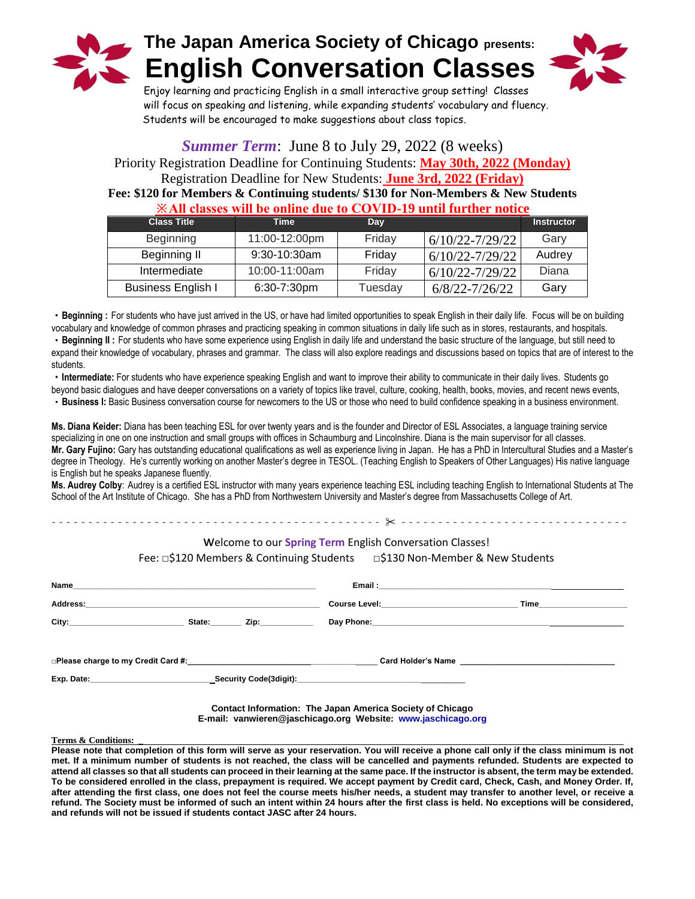



Enjoy learning and practicing English in a small interactive group setting! Classes will focus on speaking and listening, while expanding students' vocabulary and fluency. Students will be encouraged to make suggestions about class topics.

## *Summer Term*: June 8 to July 29, 2022 (8 weeks)

Priority Registration Deadline for Continuing Students: **May 30th, 2022 (Monday)** Registration Deadline for New Students: **June 3rd, 2022 (Friday) Fee: \$120 for Members & Continuing students/ \$130 for Non-Members & New Students ※All classes will be online due to COVID-19 until further notice**

| $\cdots$ and viscously than may vinice who to $\sim$ $\sim$ that as a matrix and matrix and vital |                |         |                     |                   |  |  |
|---------------------------------------------------------------------------------------------------|----------------|---------|---------------------|-------------------|--|--|
| <b>Class Title</b>                                                                                | Time           | Day     |                     | <b>Instructor</b> |  |  |
| Beginning                                                                                         | 11:00-12:00pm  | Friday  | $6/10/22 - 7/29/22$ | Gary              |  |  |
| Beginning II                                                                                      | 9:30-10:30am   | Friday  | $6/10/22 - 7/29/22$ | Audrey            |  |  |
| Intermediate                                                                                      | 10:00-11:00am  | Friday  | $6/10/22 - 7/29/22$ | Diana             |  |  |
| <b>Business English I</b>                                                                         | $6:30-7:30$ pm | Tuesday | 6/8/22-7/26/22      | Gary              |  |  |

・**Beginning :** For students who have just arrived in the US, or have had limited opportunities to speak English in their daily life. Focus will be on building vocabulary and knowledge of common phrases and practicing speaking in common situations in daily life such as in stores, restaurants, and hospitals.

・**Beginning II :** For students who have some experience using English in daily life and understand the basic structure of the language, but still need to expand their knowledge of vocabulary, phrases and grammar. The class will also explore readings and discussions based on topics that are of interest to the students.

・**Intermediate:** For students who have experience speaking English and want to improve their ability to communicate in their daily lives. Students go beyond basic dialogues and have deeper conversations on a variety of topics like travel, culture, cooking, health, books, movies, and recent news events,

・**Business I:** Basic Business conversation course for newcomers to the US or those who need to build confidence speaking in a business environment.

**Ms. Diana Keider:** Diana has been teaching ESL for over twenty years and is the founder and Director of ESL Associates, a language training service specializing in one on one instruction and small groups with offices in Schaumburg and Lincolnshire. Diana is the main supervisor for all classes. **Mr. Gary Fujino:** Gary has outstanding educational qualifications as well as experience living in Japan. He has a PhD in Intercultural Studies and a Master's degree in Theology. He's currently working on another Master's degree in TESOL. (Teaching English to Speakers of Other Languages) His native language is English but he speaks Japanese fluently.

**Ms. Audrey Colby**: Audrey is a certified ESL instructor with many years experience teaching ESL including teaching English to International Students at The School of the Art Institute of Chicago. She has a PhD from Northwestern University and Master's degree from Massachusetts College of Art.

## welcome to our **Spring Term** English Conversation Classes!

Fee: □\$120 Members & Continuing Students □\$130 Non-Member & New Students

- - - - - - - - - - - - - - - - - - - - - - - - - - - - - - - - - - - - - - - - - - - - - ✂ - - - - - - - - - - - - - - - - - - - - - - - - - - - - - - -

| Address:                                                                                                                                                                                                                      |  |                                             | Course Level: <u>_____________________________</u>                                                                                                                                                                             |  |
|-------------------------------------------------------------------------------------------------------------------------------------------------------------------------------------------------------------------------------|--|---------------------------------------------|--------------------------------------------------------------------------------------------------------------------------------------------------------------------------------------------------------------------------------|--|
|                                                                                                                                                                                                                               |  | State: $\qquad \qquad$ Zip: $\qquad \qquad$ |                                                                                                                                                                                                                                |  |
|                                                                                                                                                                                                                               |  |                                             |                                                                                                                                                                                                                                |  |
| □Please charge to my Credit Card #: Network and the control of the control of the control of the control of the control of the control of the control of the control of the control of the control of the control of the cont |  |                                             | Card Holder's Name Manual And All Annual Annual Annual Annual Annual Annual Annual Annual Annual Annual Annual                                                                                                                 |  |
|                                                                                                                                                                                                                               |  |                                             | Exp. Date: exp. bate: exp. bate: exp. bate: exp. bate: exp. bate: exp. bate: exp. bate: exp. bate: exp. bate: exp. bate: exp. bate: exp. bate: exp. bate: exp. bate: exp. bate: exp. bate: exp. bate: exp. bate: exp. bate: ex |  |
|                                                                                                                                                                                                                               |  |                                             |                                                                                                                                                                                                                                |  |

**Contact Information: The Japan America Society of Chicago E-mail: vanwieren@jaschicago.org Website: [www.jaschicago.org](http://www.jaschicago.org/)**

**Terms & Conditions: \_**

**Please note that completion of this form will serve as your reservation. You will receive a phone call only if the class minimum is not met. If a minimum number of students is not reached, the class will be cancelled and payments refunded. Students are expected to attend all classes so that all students can proceed in their learning at the same pace. If the instructor is absent, the term may be extended. To be considered enrolled in the class, prepayment is required. We accept payment by Credit card, Check, Cash, and Money Order. If, after attending the first class, one does not feel the course meets his/her needs, a student may transfer to another level, or receive a refund. The Society must be informed of such an intent within 24 hours after the first class is held. No exceptions will be considered, and refunds will not be issued if students contact JASC after 24 hours.**